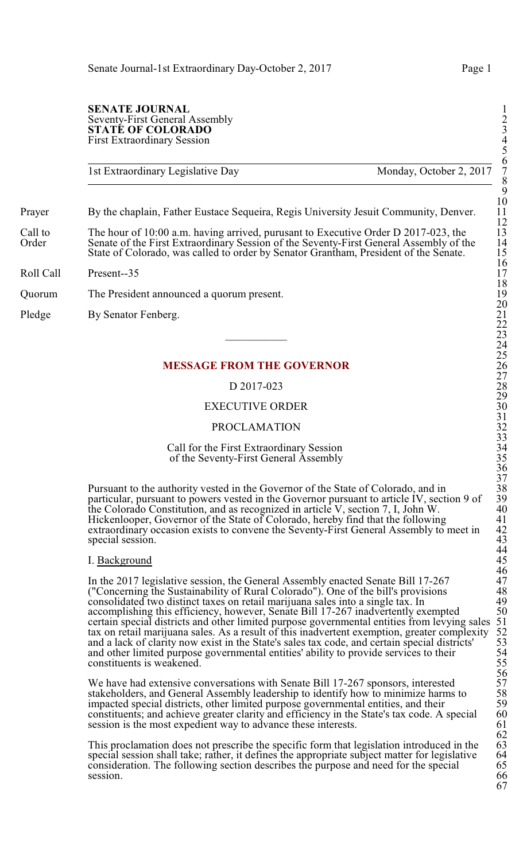## **SENATE JOURNAL** Seventy-First General Assembly 2 **STATÉ OF COLORADO** First Extraordinary Session 4

1st Extraordinary Legislative Day Monday, October 2, 2017

Prayer By the chaplain, Father Eustace Sequeira, Regis University Jesuit Community, Denver.

- Call to The hour of 10:00 a.m. having arrived, purusant to Executive Order D 2017-023, the Creater of the First Extraordinary Session of the Seventy-First General Assembly of the 13 Senate of the First Extraordinary Session of the Seventy-First General Assembly of the State of Colorado, was called to order by Senator Grantham, President of the Senate.
- Roll Call Present--35 17
- Quorum The President announced a quorum present.
- Pledge By Senator Fenberg.

## **MESSAGE FROM THE GOVERNOR**

## $D$  2017-023

## EXECUTIVE ORDER

## **PROCLAMATION**

## Call for the First Extraordinary Session of the Seventy-First General Assembly 35

Pursuant to the authority vested in the Governor of the State of Colorado, and in particular, pursuant to powers vested in the Governor pursuant to article IV, section 9 of the Colorado Constitution, and as recognized in article V, section 7, I, John W. Hickenlooper, Governor of the State of Colorado, hereby find that the following extraordinary occasion exists to convene the Seventy-First General Assembly to meet in special session.

## I. Background

In the 2017 legislative session, the General Assembly enacted Senate Bill 17-267 ("Concerning the Sustainability of Rural Colorado"). One of the bill's provisions 48 consolidated two distinct taxes on retail marijuana sales into a single tax. In 49 accomplishing this efficiency, however, Senate Bill 17-267 inadvertently exempted certain special districts and other limited purpose governmental entities from levying sales tax on retail marijuana sales. As a result of this inadvertent exemption, greater complexity 52 and a lack of clarity now exist in the State's sales tax code, and certain special districts' and other limited purpose governmental entities' ability to provide services to their constituents is weakened.

We have had extensive conversations with Senate Bill 17-267 sponsors, interested stakeholders, and General Assembly leadership to identify how to minimize harms to impacted special districts, other limited purpose governmental entities, and their constituents; and achieve greater clarity and efficiency in the State's tax code. A special session is the most expedient way to advance these interests.

This proclamation does not prescribe the specific form that legislation introduced in the special session shall take; rather, it defines the appropriate subject matter for legislative consideration. The following section describes the purpose and need for the special 65<br>session. 66 session. 66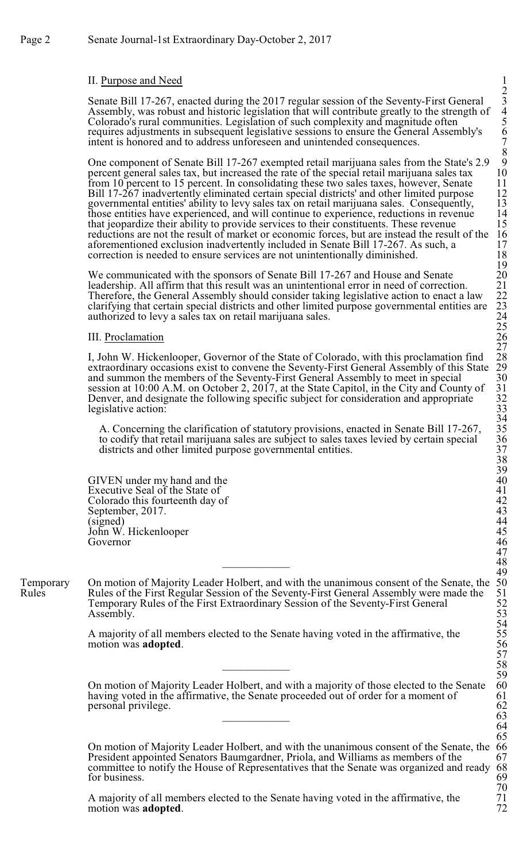# II. Purpose and Need

Senate Bill 17-267, enacted during the 2017 regular session of the Seventy-First General Assembly, was robust and historic legislation that will contribute greatly to the strength of 4 Colorado's rural communities. Legislation of such complexity and magnitude often 5 requires adjustments in subsequent legislative sessions to ensure the General Assembly's 6 intent is honored and to address unforeseen and unintended consequences. 7

One component of Senate Bill 17-267 exempted retail marijuana sales from the State's 2.9 9 percent general sales tax, but increased the rate of the special retail marijuana sales tax from 10 percent to 15 percent. In consolidating these two sales taxes, however, Senate 11<br>Bill 17-267 inadvertently eliminated certain special districts' and other limited purpose 12 Bill 17-267 inadvertently eliminated certain special districts' and other limited purpose 12<br>governmental entities' ability to levy sales tax on retail marijuana sales. Consequently, 13 governmental entities' ability to levy sales tax on retail marijuana sales. Consequently, 13 those entities have experienced, and will continue to experience, reductions in revenue 14 those entities have experienced, and will continue to experience, reductions in revenue 14<br>that jeopardize their ability to provide services to their constituents. These revenue 15 that jeopardize their ability to provide services to their constituents. These revenue 15 reductions are not the result of market or economic forces, but are instead the result of the 16 aforementioned exclusion inadvertently included in Senate Bill 17-267. As such, a 17 correction is needed to ensure services are not unintentionally diminished. 18 correction is needed to ensure services are not unintentionally diminished. 18

We communicated with the sponsors of Senate Bill 17-267 and House and Senate 20<br>leadership. All affirm that this result was an unintentional error in need of correction. 21<br>Therefore, the General Assembly should consider t leadership. All affirm that this result was an unintentional error in need of correction. Therefore, the General Assembly should consider taking legislative action to enact a law clarifying that certain special districts and other limited purpose governmental entities are authorized to levy a sales tax on retail marijuana sales.

## III. Proclamation

I, John W. Hickenlooper, Governor of the State of Colorado, with this proclamation find extraordinary occasions exist to convene the Seventy-First General Assembly of this State 29 and summon the members of the Seventy-First General Assembly to meet in special 30 and summon the members of the Seventy-First General Assembly to meet in special 30 session at 10:00 A.M. on October 2, 2017, at the State Capitol, in the City and County of 31 Denver, and designate the following specific subject for consideration and appropriate legislative action:

A. Concerning the clarification of statutory provisions, enacted in Senate Bill 17-267, to codify that retail marijuana sales are subject to sales taxes levied by certain special districts and other limited purpose governmental entities.

GIVEN under my hand and the<br>
Executive Seal of the State of<br>
Colorado this fourteenth day of<br>
September, 2017.<br>
(signed)<br>
John W. Hickenlooper<br>
Governor<br>
46 Executive Seal of the State of Colorado this fourteenth day of September, 2017.<br>(signed) (signed) 44 John W. Hickenlooper<br>Governor Governor 46

Temporary On motion of Majority Leader Holbert, and with the unanimous consent of the Senate, the 50<br>Rules Rules of the First Regular Session of the Seventy-First General Assembly were made the 51 Rules of the First Regular Session of the Seventy-First General Assembly were made the Temporary Rules of the First Extraordinary Session of the Seventy-First General 52 Assembly. 53

> A majority of all members elected to the Senate having voted in the affirmative, the motion was **adopted**. 56

On motion of Majority Leader Holbert, and with a majority of those elected to the Senate 60<br>having voted in the affirmative, the Senate proceeded out of order for a moment of 61 having voted in the affirmative, the Senate proceeded out of order for a moment of 61 personal privilege. personal privilege. 62<br>63  $\overline{63}$ 

On motion of Majority Leader Holbert, and with the unanimous consent of the Senate, the 66<br>President appointed Senators Baumgardner, Priola, and Williams as members of the 67 President appointed Senators Baumgardner, Priola, and Williams as members of the 67<br>committee to notify the House of Representatives that the Senate was organized and ready 68 committee to notify the House of Representatives that the Senate was organized and ready 68 for business. for business.

A majority of all members elected to the Senate having voted in the affirmative, the 71 motion was **adopted**. 72 motion was **adopted**.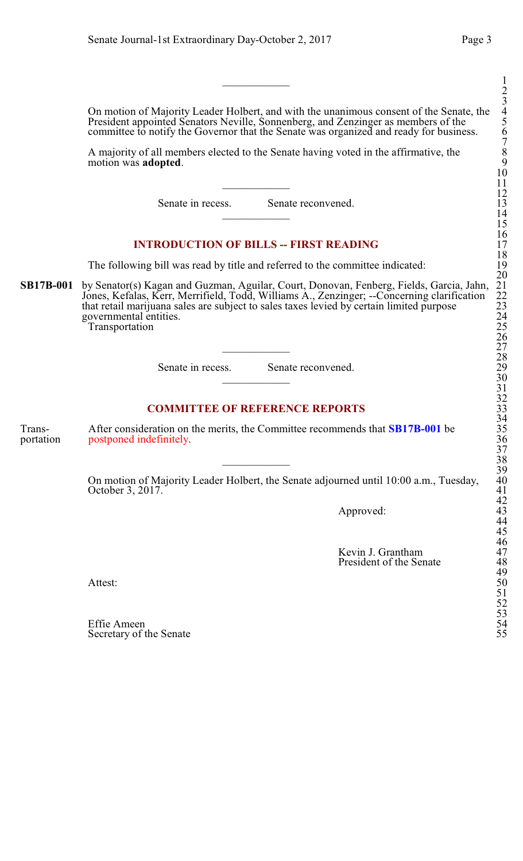$\overline{\phantom{a}}$  1 On motion of Majority Leader Holbert, and with the unanimous consent of the Senate, the 4 President appointed Senators Neville, Sonnenberg, and Zenzinger as members of the committee to notify the Governor that the Senate was organized and ready for business. A majority of all members elected to the Senate having voted in the affirmative, the motion was **adopted**. 9  $\overline{\phantom{a}11}$ Senate in recess. Senate reconvened.  $\overline{\phantom{a}14}$ **INTRODUCTION OF BILLS -- FIRST READING** The following bill was read by title and referred to the committee indicated: **SB17B-001** by Senator(s) Kagan and Guzman, Aguilar, Court, Donovan, Fenberg, Fields, Garcia, Jahn, 21 Jones, Kefalas, Kerr, Merrifield, Todd, Williams A., Zenzinger; --Concerning clarification that retail marijuana sales are subject to sales taxes levied by certain limited purpose 23 governmental entities. **Transportation** \_\_\_\_\_\_\_\_\_\_\_\_ 27 Senate in recess. Senate reconvened.  $30$ **COMMITTEE OF REFERENCE REPORTS** Trans-<br>
After consideration on the merits, the Committee recommends that **SB17B-001** be 35 portation postponed indefinitely. 36  $38$ On motion of Majority Leader Holbert, the Senate adjourned until 10:00 a.m., Tuesday, October 3, 2017. Approved: Kevin J. Grantham 47

President of the Senate

Attest: 50

Effie Ameen 54 Secretary of the Senate

52 53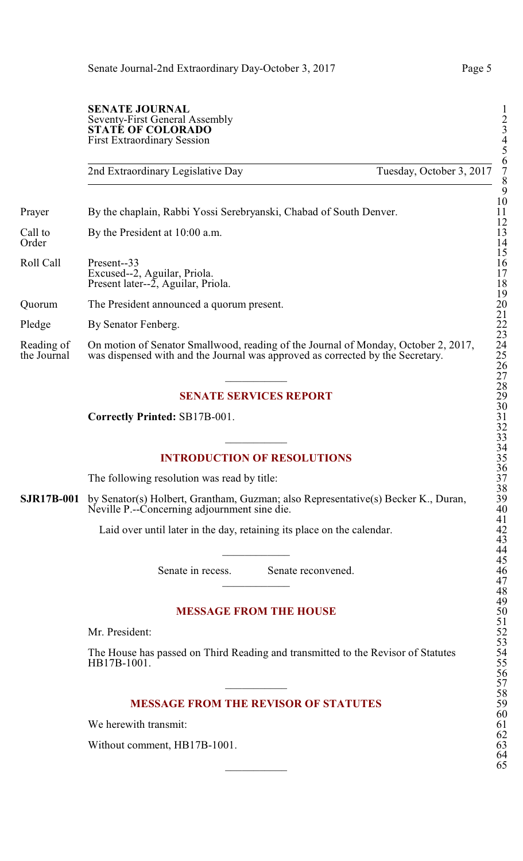2nd Extraordinary Legislative Day Tuesday, October 3, 2017

Prayer By the chaplain, Rabbi Yossi Serebryanski, Chabad of South Denver.

Call to By the President at 10:00 a.m.<br>Order Order 14

Roll Call Present--33 16 Excused--2, Aguilar, Priola. Present later-- $2$ , Aguilar, Priola.

Quorum The President announced a quorum present.

Pledge By Senator Fenberg.

Reading of On motion of Senator Smallwood, reading of the Journal of Monday, October 2, 2017, the Journal was dispensed with and the Journal was approved as corrected by the Secretary. was dispensed with and the Journal was approved as corrected by the Secretary.

# **SENATE SERVICES REPORT**

**Correctly Printed:** SB17B-001.

# **INTRODUCTION OF RESOLUTIONS**

The following resolution was read by title:

**SJR17B-001** by Senator(s) Holbert, Grantham, Guzman; also Representative(s) Becker K., Duran, Neville P.--Concerning adjournment sine die.

Laid over until later in the day, retaining its place on the calendar.

Senate in recess. Senate reconvened.

# **MESSAGE FROM THE HOUSE**

Mr. President:

The House has passed on Third Reading and transmitted to the Revisor of Statutes HB17B-1001.

# **MESSAGE FROM THE REVISOR OF STATUTES**

We herewith transmit:

Without comment, HB17B-1001.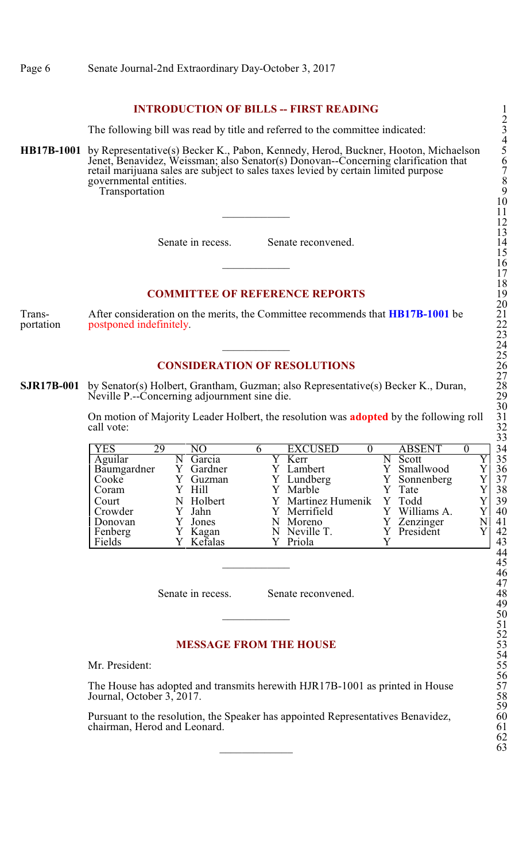# **INTRODUCTION OF BILLS -- FIRST READING**

The following bill was read by title and referred to the committee indicated:

**HB17B-1001** by Representative(s) Becker K., Pabon, Kennedy, Herod, Buckner, Hooton, Michaelson 5 Jenet, Benavidez, Weissman; also Senator(s) Donovan--Concerning clarification that 6 retail marijuana sales are subject to sales taxes levied by certain limited purpose 7 governmental entities. 8 **Transportation** 

Senate in recess. Senate reconvened.

## **COMMITTEE OF REFERENCE REPORTS**

Trans-<br>
After consideration on the merits, the Committee recommends that **HB17B-1001** be 21 portation postponed indefinitely. 22

## **CONSIDERATION OF RESOLUTIONS**

**SJR17B-001** by Senator(s) Holbert, Grantham, Guzman; also Representative(s) Becker K., Duran, Neville P.--Concerning adjournment sine die.

> On motion of Majority Leader Holbert, the resolution was **adopted** by the following roll call vote: call vote: 32

| YES         | 29 | NO        | <b>EXCUSED</b>     | <b>ABSENT</b> | 34 |
|-------------|----|-----------|--------------------|---------------|----|
| Aguilar     |    | Garcia    | Kerr               | Scott         | 35 |
| Baumgardner |    | Gardner   | Lambert            | Smallwood     | 36 |
| Cooke       |    | Guzman    | Y Lundberg         | Y Sonnenberg  | 37 |
| Coram       |    | Y Hill    | Y Marble           | Tate          | 38 |
| Court       |    | N Holbert | Y Martinez Humenik | Y Todd        | 39 |
| Crowder     |    | Jahn      | Y Merrifield       | Williams A.   | 40 |
| Donovan     |    | Jones     | Moreno             | Zenzinger     | 41 |
| Fenberg     |    | Kagan     | Neville T.         | President     | 42 |
| Fields      |    | Kefalas   | Priola             |               | 43 |

Senate in recess. Senate reconvened.

# **MESSAGE FROM THE HOUSE**

Mr. President:

The House has adopted and transmits herewith HJR17B-1001 as printed in House Journal, October 3, 2017.

Pursuant to the resolution, the Speaker has appointed Representatives Benavidez, 60 chairman, Herod and Leonard. 61 chairman, Herod and Leonard.